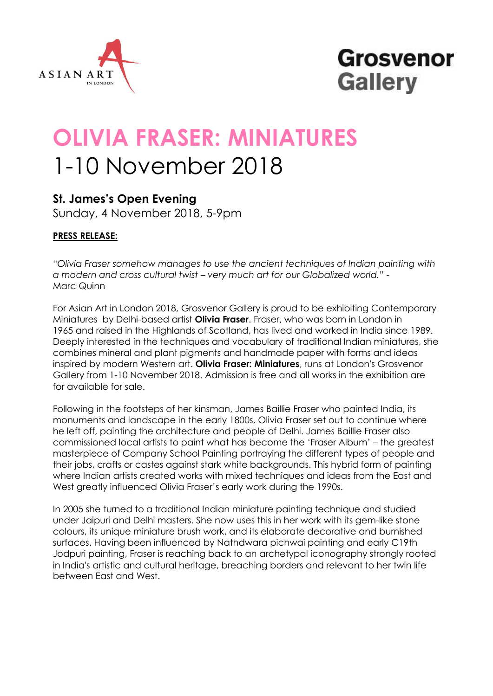

## **Grosvenor Gallery**

# **OLIVIA FRASER: MINIATURES** 1-10 November 2018

### **St. James's Open Evening**

Sunday, 4 November 2018, 5-9pm

#### **PRESS RELEASE:**

"*Olivia Fraser somehow manages to use the ancient techniques of Indian painting with a modern and cross cultural twist – very much art for our Globalized world." -* Marc Quinn

For Asian Art in London 2018, Grosvenor Gallery is proud to be exhibiting Contemporary Miniatures by Delhi-based artist **Olivia Fraser**. Fraser, who was born in London in 1965 and raised in the Highlands of Scotland, has lived and worked in India since 1989. Deeply interested in the techniques and vocabulary of traditional Indian miniatures, she combines mineral and plant pigments and handmade paper with forms and ideas inspired by modern Western art. **Olivia Fraser: Miniatures**, runs at London's Grosvenor Gallery from 1-10 November 2018. Admission is free and all works in the exhibition are for available for sale.

Following in the footsteps of her kinsman, James Baillie Fraser who painted India, its monuments and landscape in the early 1800s, Olivia Fraser set out to continue where he left off, painting the architecture and people of Delhi. James Baillie Fraser also commissioned local artists to paint what has become the 'Fraser Album' – the greatest masterpiece of Company School Painting portraying the different types of people and their jobs, crafts or castes against stark white backgrounds. This hybrid form of painting where Indian artists created works with mixed techniques and ideas from the East and West greatly influenced Olivia Fraser's early work during the 1990s.

In 2005 she turned to a traditional Indian miniature painting technique and studied under Jaipuri and Delhi masters. She now uses this in her work with its gem-like stone colours, its unique miniature brush work, and its elaborate decorative and burnished surfaces. Having been influenced by Nathdwara pichwai painting and early C19th Jodpuri painting, Fraser is reaching back to an archetypal iconography strongly rooted in India's artistic and cultural heritage, breaching borders and relevant to her twin life between East and West.